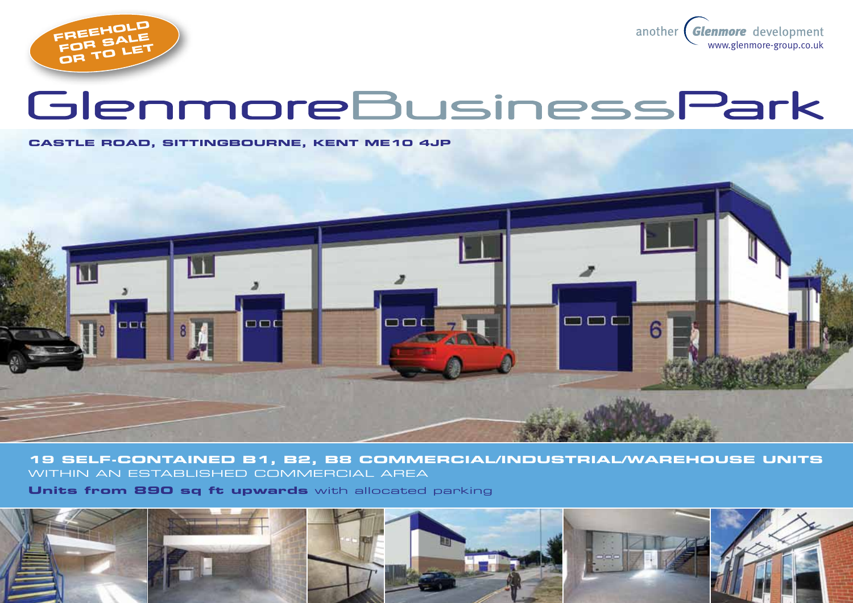

another Glenmore development www.glenmore-group.co.uk

# GlenmoreBusinessPark

#### **castle ROAD, sittingbourne, kent ME10 4JP**



**19 self-contained B1, b2, B8 commercial/industrial/warehouse units** within aN ESTABLISHED COMMERCIAL AREA

**Units from 890 sq ft upwards** with allocated parking